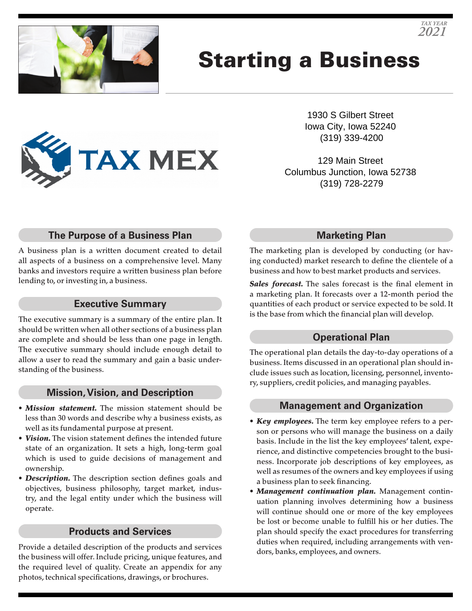

# Starting a Business

1930 S Gilbert Street Iowa City, Iowa 52240 (319) 339-4200

129 Main Street Columbus Junction, Iowa 52738 (319) 728-2279

## **The Purpose of a Business Plan**

**TAX MEX** 

A business plan is a written document created to detail all aspects of a business on a comprehensive level. Many banks and investors require a written business plan before lending to, or investing in, a business.

#### **Executive Summary**

The executive summary is a summary of the entire plan. It should be written when all other sections of a business plan are complete and should be less than one page in length. The executive summary should include enough detail to allow a user to read the summary and gain a basic understanding of the business.

#### **Mission, Vision, and Description**

- *Mission statement.* The mission statement should be less than 30 words and describe why a business exists, as well as its fundamental purpose at present.
- *Vision.* The vision statement defines the intended future state of an organization. It sets a high, long-term goal which is used to guide decisions of management and ownership.
- *Description.* The description section defines goals and objectives, business philosophy, target market, industry, and the legal entity under which the business will operate.

#### **Products and Services**

Provide a detailed description of the products and services the business will offer. Include pricing, unique features, and the required level of quality. Create an appendix for any photos, technical specifications, drawings, or brochures.

#### **Marketing Plan**

The marketing plan is developed by conducting (or having conducted) market research to define the clientele of a business and how to best market products and services.

*Sales forecast.* The sales forecast is the final element in a marketing plan. It forecasts over a 12-month period the quantities of each product or service expected to be sold. It is the base from which the financial plan will develop.

#### **Operational Plan**

The operational plan details the day-to-day operations of a business. Items discussed in an operational plan should include issues such as location, licensing, personnel, inventory, suppliers, credit policies, and managing payables.

#### **Management and Organization**

- *Key employees.* The term key employee refers to a person or persons who will manage the business on a daily basis. Include in the list the key employees' talent, experience, and distinctive competencies brought to the business. Incorporate job descriptions of key employees, as well as resumes of the owners and key employees if using a business plan to seek financing.
- *Management continuation plan.* Management continuation planning involves determining how a business will continue should one or more of the key employees be lost or become unable to fulfill his or her duties. The plan should specify the exact procedures for transferring duties when required, including arrangements with vendors, banks, employees, and owners.